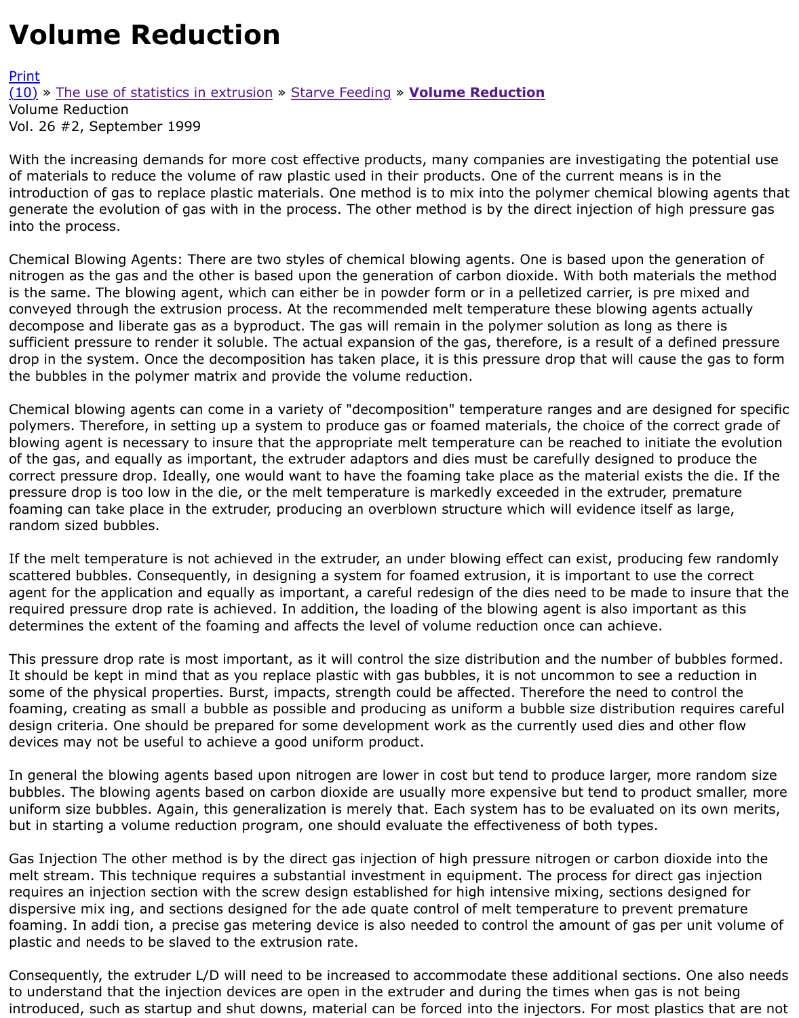With the increasing demands for more cost effective products, many companies are investigating th of materials to reduce the volume of raw plastic used in their products. One of the current means is introduction of gas to replace plastic materials. One method is to mix into the polymer chemical blo [gene](http://extrusionwiki.com/wiki/Print.aspx?Page=CC-V26-2-C)rate the evolution of gas with in the process. The other method is by the direct injection of higl [into](http://extrusionwiki.com/wiki/CC-V26-2-C.ashx#) th[e process.](http://extrusionwiki.com/wiki/CC-V26-2-A.ashx)

Chemical Blowing Agents: There are two styles of chemical blowing agents. One is based upon the g nitrogen as the gas and the other is based upon the generation of carbon dioxide. With both material is the same. The blowing agent, which can either be in powder form or in a pelletized carrier, is pre conveyed through the extrusion process. At the recommended melt temperature these blowing agents actually actual decompose and liberate gas as a byproduct. The gas will remain in the polymer solution as long as t sufficient pressure to render it soluble. The actual expansion of the gas, therefore, is a result of a degree drop in the system. Once the decomposition has taken place, it is this pressure drop that will cause the bubbles in the polymer matrix and provide the volume reduction.

Chemical blowing agents can come in a variety of "decomposition" temperature ranges and are desi polymers. Therefore, in setting up a system to produce gas or foamed materials, the choice of the c blowing agent is necessary to insure that the appropriate melt temperature can be reached to initiate of the gas, and equally as important, the extruder adaptors and dies must be carefully designed to correct pressure drop. Ideally, one would want to have the foaming take place as the material exists pressure drop is too low in the die, or the melt temperature is markedly exceeded in the extruder, p foaming can take place in the extruder, producing an overblown structure which will evidence itself as random sized bubbles.

If the melt temperature is not achieved in the extruder, an under blowing effect can exist, producing scattered bubbles. Consequently, in designing a system for foamed extrusion, it is important to use agent for the application and equally as important, a careful redesign of the dies need to be made t required pressure drop rate is achieved. In addition, the loading of the blowing agent is also importa determines the extent of the foaming and affects the level of volume reduction once can achieve.

This pressure drop rate is most important, as it will control the size distribution and the number of bubble It should be kept in mind that as you replace plastic with gas bubbles, it is not uncommon to see a some of the physical properties. Burst, impacts, strength could be affected. Therefore the need to c foaming, creating as small a bubble as possible and producing as uniform a bubble size distribution design criteria. One should be prepared for some development work as the currently used dies and devices may not be useful to achieve a good uniform product.

In general the blowing agents based upon nitrogen are lower in cost but tend to produce larger, mo bubbles. The blowing agents based on carbon dioxide are usually more expensive but tend to produ uniform size bubbles. Again, this generalization is merely that. Each system has to be evaluated on but in starting a volume reduction program, one should evaluate the effectiveness of both types.

Gas Injection The other method is by the direct gas injection of high pressure nitrogen or carbon dio melt stream. This technique requires a substantial investment in equipment. The process for direct requires an injection section with the screw design established for high intensive mixing, sections de dispersive mix ing, and sections designed for the ade quate control of melt temperature to prevent foaming. In addi tion, a precise gas metering device is also needed to control the amount of gas pei plastic and needs to be slaved to the extrusion rate.

Consequently, the extruder L/D will need to be increased to accommodate these additional sections. to understand that the injection devices are open in the extruder and during the times when gas is introduced, such as startup and shut downs, material can be forced into the injectors. For most plas